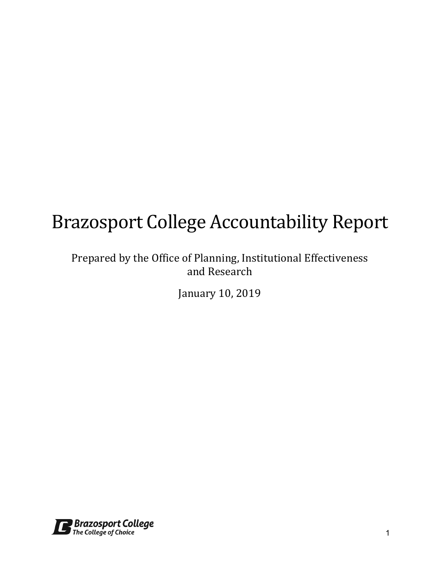# Brazosport College Accountability Report

# Prepared by the Office of Planning, Institutional Effectiveness and Research

January 10, 2019

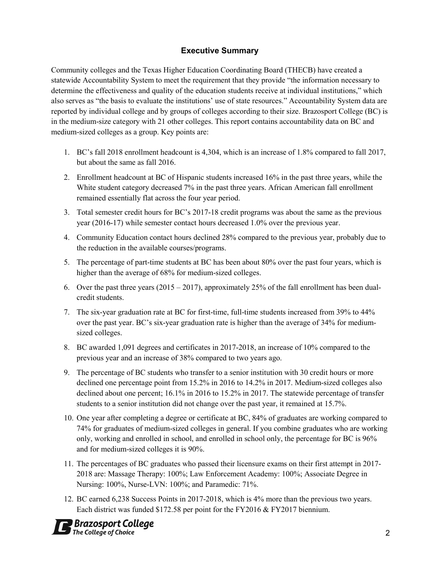#### **Executive Summary**

Community colleges and the Texas Higher Education Coordinating Board (THECB) have created a statewide Accountability System to meet the requirement that they provide "the information necessary to determine the effectiveness and quality of the education students receive at individual institutions," which also serves as "the basis to evaluate the institutions' use of state resources." Accountability System data are reported by individual college and by groups of colleges according to their size. Brazosport College (BC) is in the medium-size category with 21 other colleges. This report contains accountability data on BC and medium-sized colleges as a group. Key points are:

- 1. BC's fall 2018 enrollment headcount is 4,304, which is an increase of 1.8% compared to fall 2017, but about the same as fall 2016.
- 2. Enrollment headcount at BC of Hispanic students increased 16% in the past three years, while the White student category decreased 7% in the past three years. African American fall enrollment remained essentially flat across the four year period.
- 3. Total semester credit hours for BC's 2017-18 credit programs was about the same as the previous year (2016-17) while semester contact hours decreased 1.0% over the previous year.
- 4. Community Education contact hours declined 28% compared to the previous year, probably due to the reduction in the available courses/programs.
- 5. The percentage of part-time students at BC has been about 80% over the past four years, which is higher than the average of 68% for medium-sized colleges.
- 6. Over the past three years  $(2015 2017)$ , approximately 25% of the fall enrollment has been dualcredit students.
- 7. The six-year graduation rate at BC for first-time, full-time students increased from 39% to 44% over the past year. BC's six-year graduation rate is higher than the average of 34% for mediumsized colleges.
- 8. BC awarded 1,091 degrees and certificates in 2017-2018, an increase of 10% compared to the previous year and an increase of 38% compared to two years ago.
- 9. The percentage of BC students who transfer to a senior institution with 30 credit hours or more declined one percentage point from 15.2% in 2016 to 14.2% in 2017. Medium-sized colleges also declined about one percent; 16.1% in 2016 to 15.2% in 2017. The statewide percentage of transfer students to a senior institution did not change over the past year, it remained at 15.7%.
- 10. One year after completing a degree or certificate at BC, 84% of graduates are working compared to 74% for graduates of medium-sized colleges in general. If you combine graduates who are working only, working and enrolled in school, and enrolled in school only, the percentage for BC is 96% and for medium-sized colleges it is 90%.
- 11. The percentages of BC graduates who passed their licensure exams on their first attempt in 2017- 2018 are: Massage Therapy: 100%; Law Enforcement Academy: 100%; Associate Degree in Nursing: 100%, Nurse-LVN: 100%; and Paramedic: 71%.
- 12. BC earned 6,238 Success Points in 2017-2018, which is 4% more than the previous two years. Each district was funded \$172.58 per point for the FY2016 & FY2017 biennium.

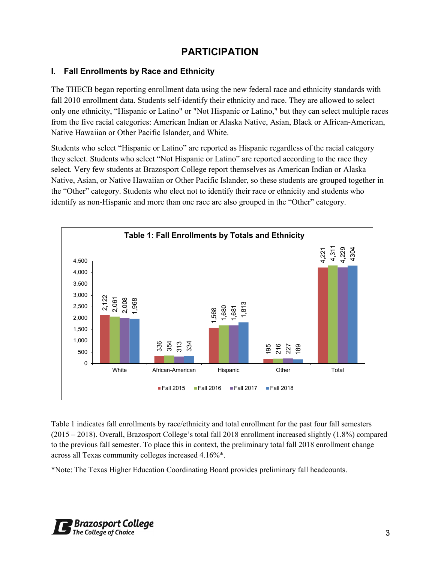# **PARTICIPATION**

## **I. Fall Enrollments by Race and Ethnicity**

The THECB began reporting enrollment data using the new federal race and ethnicity standards with fall 2010 enrollment data. Students self-identify their ethnicity and race. They are allowed to select only one ethnicity, "Hispanic or Latino" or "Not Hispanic or Latino," but they can select multiple races from the five racial categories: American Indian or Alaska Native, Asian, Black or African-American, Native Hawaiian or Other Pacific Islander, and White.

Students who select "Hispanic or Latino" are reported as Hispanic regardless of the racial category they select. Students who select "Not Hispanic or Latino" are reported according to the race they select. Very few students at Brazosport College report themselves as American Indian or Alaska Native, Asian, or Native Hawaiian or Other Pacific Islander, so these students are grouped together in the "Other" category. Students who elect not to identify their race or ethnicity and students who identify as non-Hispanic and more than one race are also grouped in the "Other" category.



Table 1 indicates fall enrollments by race/ethnicity and total enrollment for the past four fall semesters (2015 – 2018). Overall, Brazosport College's total fall 2018 enrollment increased slightly (1.8%) compared to the previous fall semester. To place this in context, the preliminary total fall 2018 enrollment change across all Texas community colleges increased 4.16%\*.

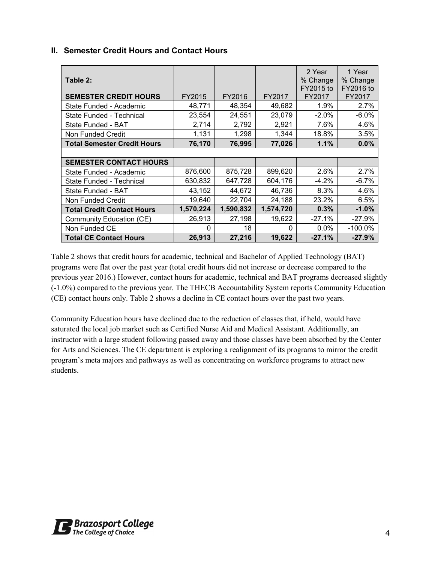| Table 2:                           |           |           |           | 2 Year<br>% Change<br>FY2015 to | 1 Year<br>% Change<br>FY2016 to |
|------------------------------------|-----------|-----------|-----------|---------------------------------|---------------------------------|
| <b>SEMESTER CREDIT HOURS</b>       | FY2015    | FY2016    | FY2017    | FY2017                          | FY2017                          |
| State Funded - Academic            | 48,771    | 48,354    | 49,682    | 1.9%                            | 2.7%                            |
| State Funded - Technical           | 23,554    | 24,551    | 23,079    | $-2.0%$                         | $-6.0\%$                        |
| State Funded - BAT                 | 2,714     | 2,792     | 2,921     | 7.6%                            | 4.6%                            |
| Non Funded Credit                  | 1,131     | 1,298     | 1,344     | 18.8%                           | 3.5%                            |
| <b>Total Semester Credit Hours</b> | 76,170    | 76,995    | 77,026    | 1.1%                            | 0.0%                            |
|                                    |           |           |           |                                 |                                 |
| <b>SEMESTER CONTACT HOURS</b>      |           |           |           |                                 |                                 |
| State Funded - Academic            | 876,600   | 875,728   | 899,620   | 2.6%                            | 2.7%                            |
| State Funded - Technical           | 630,832   | 647,728   | 604,176   | $-4.2\%$                        | -6.7%                           |
| State Funded - BAT                 | 43,152    | 44,672    | 46,736    | 8.3%                            | 4.6%                            |
| Non Funded Credit                  | 19,640    | 22,704    | 24,188    | 23.2%                           | 6.5%                            |
| <b>Total Credit Contact Hours</b>  | 1,570,224 | 1,590,832 | 1,574,720 | 0.3%                            | $-1.0%$                         |
| <b>Community Education (CE)</b>    | 26,913    | 27,198    | 19,622    | $-27.1%$                        | $-27.9%$                        |
| Non Funded CE                      | 0         | 18        | $\Omega$  | $0.0\%$                         | $-100.0\%$                      |
| <b>Total CE Contact Hours</b>      | 26,913    | 27,216    | 19,622    | $-27.1%$                        | $-27.9%$                        |

## **II. Semester Credit Hours and Contact Hours**

Table 2 shows that credit hours for academic, technical and Bachelor of Applied Technology (BAT) programs were flat over the past year (total credit hours did not increase or decrease compared to the previous year 2016.) However, contact hours for academic, technical and BAT programs decreased slightly (-1.0%) compared to the previous year. The THECB Accountability System reports Community Education (CE) contact hours only. Table 2 shows a decline in CE contact hours over the past two years.

Community Education hours have declined due to the reduction of classes that, if held, would have saturated the local job market such as Certified Nurse Aid and Medical Assistant. Additionally, an instructor with a large student following passed away and those classes have been absorbed by the Center for Arts and Sciences. The CE department is exploring a realignment of its programs to mirror the credit program's meta majors and pathways as well as concentrating on workforce programs to attract new students.

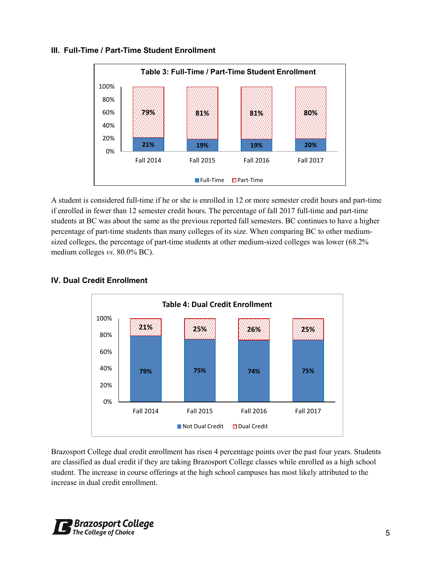#### **III. Full-Time / Part-Time Student Enrollment**



A student is considered full-time if he or she is enrolled in 12 or more semester credit hours and part-time if enrolled in fewer than 12 semester credit hours. The percentage of fall 2017 full-time and part-time students at BC was about the same as the previous reported fall semesters. BC continues to have a higher percentage of part-time students than many colleges of its size. When comparing BC to other mediumsized colleges, the percentage of part-time students at other medium-sized colleges was lower (68.2% medium colleges *vs*. 80.0% BC).



## **IV. Dual Credit Enrollment**

Brazosport College dual credit enrollment has risen 4 percentage points over the past four years. Students are classified as dual credit if they are taking Brazosport College classes while enrolled as a high school student. The increase in course offerings at the high school campuses has most likely attributed to the increase in dual credit enrollment.

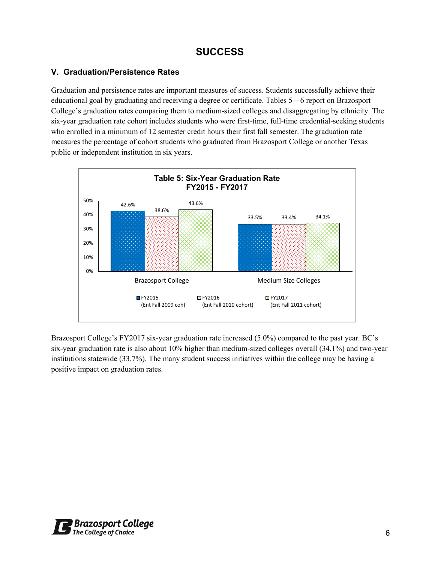## **SUCCESS**

#### **V. Graduation/Persistence Rates**

Graduation and persistence rates are important measures of success. Students successfully achieve their educational goal by graduating and receiving a degree or certificate. Tables 5 – 6 report on Brazosport College's graduation rates comparing them to medium-sized colleges and disaggregating by ethnicity. The six-year graduation rate cohort includes students who were first-time, full-time credential-seeking students who enrolled in a minimum of 12 semester credit hours their first fall semester. The graduation rate measures the percentage of cohort students who graduated from Brazosport College or another Texas public or independent institution in six years.



Brazosport College's FY2017 six-year graduation rate increased (5.0%) compared to the past year. BC's six-year graduation rate is also about 10% higher than medium-sized colleges overall (34.1%) and two-year institutions statewide (33.7%). The many student success initiatives within the college may be having a positive impact on graduation rates.

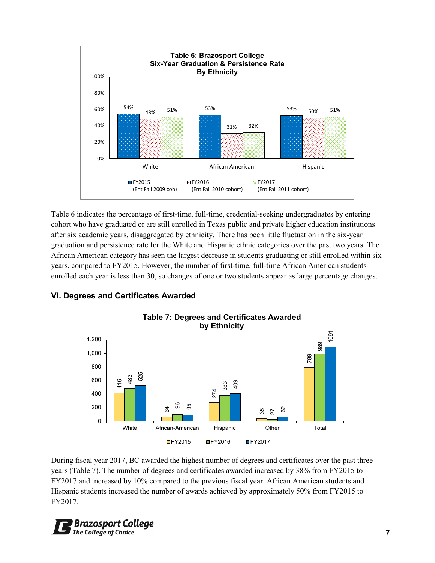

Table 6 indicates the percentage of first-time, full-time, credential-seeking undergraduates by entering cohort who have graduated or are still enrolled in Texas public and private higher education institutions after six academic years, disaggregated by ethnicity. There has been little fluctuation in the six-year graduation and persistence rate for the White and Hispanic ethnic categories over the past two years. The African American category has seen the largest decrease in students graduating or still enrolled within six years, compared to FY2015. However, the number of first-time, full-time African American students enrolled each year is less than 30, so changes of one or two students appear as large percentage changes.



**VI. Degrees and Certificates Awarded**

During fiscal year 2017, BC awarded the highest number of degrees and certificates over the past three years (Table 7). The number of degrees and certificates awarded increased by 38% from FY2015 to FY2017 and increased by 10% compared to the previous fiscal year. African American students and Hispanic students increased the number of awards achieved by approximately 50% from FY2015 to FY2017.

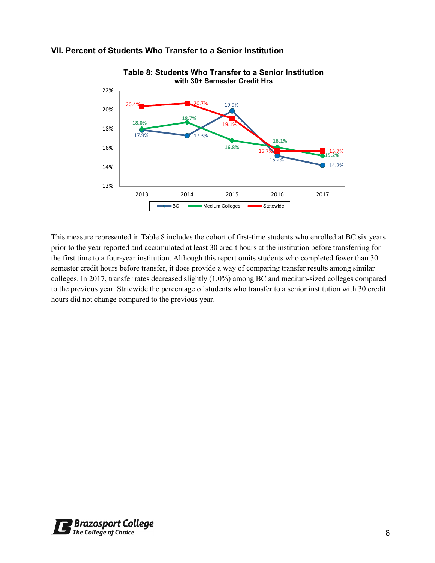

## **VII. Percent of Students Who Transfer to a Senior Institution**

This measure represented in Table 8 includes the cohort of first-time students who enrolled at BC six years prior to the year reported and accumulated at least 30 credit hours at the institution before transferring for the first time to a four-year institution. Although this report omits students who completed fewer than 30 semester credit hours before transfer, it does provide a way of comparing transfer results among similar colleges. In 2017, transfer rates decreased slightly (1.0%) among BC and medium-sized colleges compared to the previous year. Statewide the percentage of students who transfer to a senior institution with 30 credit hours did not change compared to the previous year.

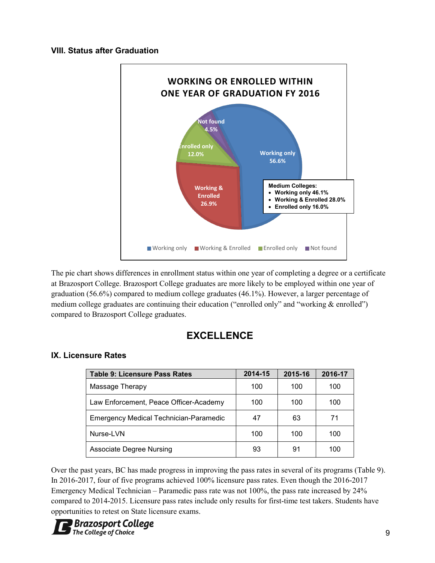#### **VIII. Status after Graduation**



The pie chart shows differences in enrollment status within one year of completing a degree or a certificate at Brazosport College. Brazosport College graduates are more likely to be employed within one year of graduation (56.6%) compared to medium college graduates (46.1%). However, a larger percentage of medium college graduates are continuing their education ("enrolled only" and "working & enrolled") compared to Brazosport College graduates.

## **EXCELLENCE**

## **IX. Licensure Rates**

| <b>Table 9: Licensure Pass Rates</b>          | 2014-15    | 2015-16 | 2016-17 |
|-----------------------------------------------|------------|---------|---------|
| Massage Therapy                               | 100        | 100     | 100     |
| Law Enforcement, Peace Officer-Academy        | 100<br>100 |         | 100     |
| <b>Emergency Medical Technician-Paramedic</b> | 47         | 63      | 71      |
| Nurse-LVN                                     | 100        | 100     | 100     |
| <b>Associate Degree Nursing</b>               | 93         | 91      | 100     |

Over the past years, BC has made progress in improving the pass rates in several of its programs (Table 9). In 2016-2017, four of five programs achieved 100% licensure pass rates. Even though the 2016-2017 Emergency Medical Technician – Paramedic pass rate was not 100%, the pass rate increased by 24% compared to 2014-2015. Licensure pass rates include only results for first-time test takers. Students have opportunities to retest on State licensure exams.